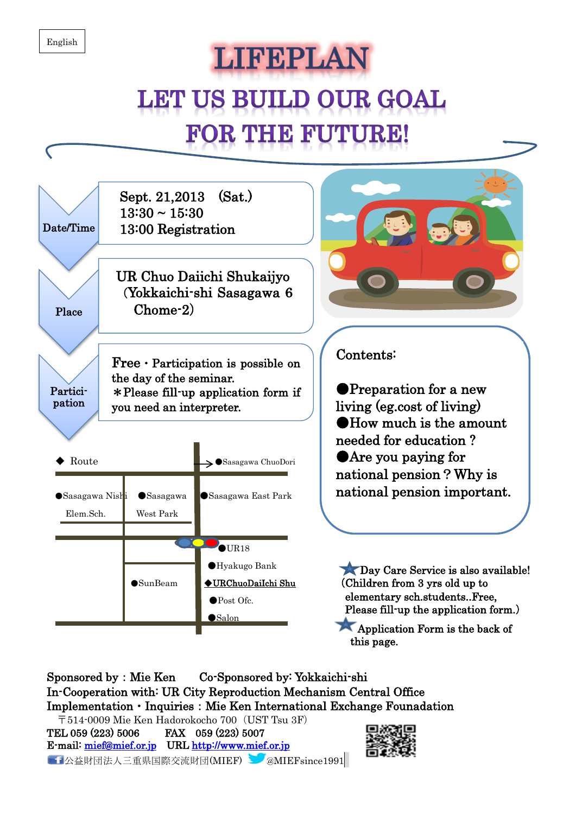## **LIFEPLAN LET US BUILD OUR GOAL FOR THE FUTURE!**



Sponsored by:Mie Ken Co-Sponsored by: Yokkaichi-shi In-Cooperation with: UR City Reproduction Mechanism Central Office  $Implementation \cdot Inquires: Mie Ken International Exchange Foundation$ 〒514-0009 Mie Ken Hadorokocho 700(UST Tsu 3F) TEL 059 (223) 5006 FAX 059 (223) 5007 E-mail: [mief@mief.or.jp](mailto:mief@mief.or.jp) URL [http://www.mief.or.jp](http://www.mief.or.jp/) 

■■公益財団法人三重県国際交流財団(MIEF) ■ @MIEFsince1991